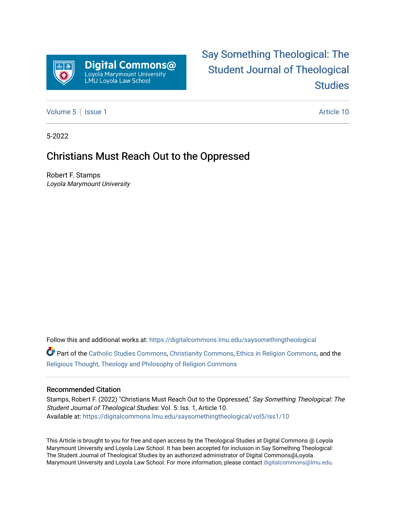

# [Say Something Theological: The](https://digitalcommons.lmu.edu/saysomethingtheological)  [Student Journal of Theological](https://digitalcommons.lmu.edu/saysomethingtheological)  **Studies**

[Volume 5](https://digitalcommons.lmu.edu/saysomethingtheological/vol5) | [Issue 1](https://digitalcommons.lmu.edu/saysomethingtheological/vol5/iss1) Article 10

5-2022

# Christians Must Reach Out to the Oppressed

Robert F. Stamps Loyola Marymount University

Follow this and additional works at: [https://digitalcommons.lmu.edu/saysomethingtheological](https://digitalcommons.lmu.edu/saysomethingtheological?utm_source=digitalcommons.lmu.edu%2Fsaysomethingtheological%2Fvol5%2Fiss1%2F10&utm_medium=PDF&utm_campaign=PDFCoverPages)

Part of the [Catholic Studies Commons](http://network.bepress.com/hgg/discipline/1294?utm_source=digitalcommons.lmu.edu%2Fsaysomethingtheological%2Fvol5%2Fiss1%2F10&utm_medium=PDF&utm_campaign=PDFCoverPages), [Christianity Commons](http://network.bepress.com/hgg/discipline/1181?utm_source=digitalcommons.lmu.edu%2Fsaysomethingtheological%2Fvol5%2Fiss1%2F10&utm_medium=PDF&utm_campaign=PDFCoverPages), [Ethics in Religion Commons,](http://network.bepress.com/hgg/discipline/541?utm_source=digitalcommons.lmu.edu%2Fsaysomethingtheological%2Fvol5%2Fiss1%2F10&utm_medium=PDF&utm_campaign=PDFCoverPages) and the [Religious Thought, Theology and Philosophy of Religion Commons](http://network.bepress.com/hgg/discipline/544?utm_source=digitalcommons.lmu.edu%2Fsaysomethingtheological%2Fvol5%2Fiss1%2F10&utm_medium=PDF&utm_campaign=PDFCoverPages) 

#### Recommended Citation

Stamps, Robert F. (2022) "Christians Must Reach Out to the Oppressed," Say Something Theological: The Student Journal of Theological Studies: Vol. 5: Iss. 1, Article 10. Available at: [https://digitalcommons.lmu.edu/saysomethingtheological/vol5/iss1/10](https://digitalcommons.lmu.edu/saysomethingtheological/vol5/iss1/10?utm_source=digitalcommons.lmu.edu%2Fsaysomethingtheological%2Fvol5%2Fiss1%2F10&utm_medium=PDF&utm_campaign=PDFCoverPages)

This Article is brought to you for free and open access by the Theological Studies at Digital Commons @ Loyola Marymount University and Loyola Law School. It has been accepted for inclusion in Say Something Theological: The Student Journal of Theological Studies by an authorized administrator of Digital Commons@Loyola Marymount University and Loyola Law School. For more information, please contact [digitalcommons@lmu.edu](mailto:digitalcommons@lmu.edu).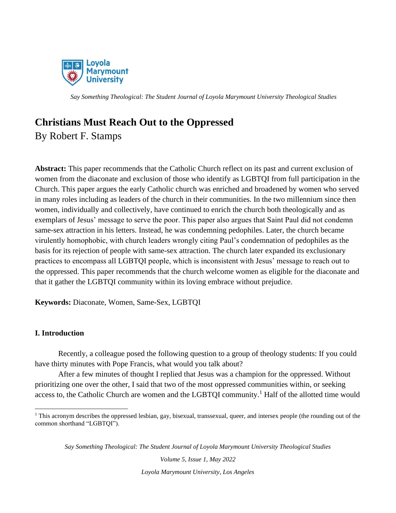

# **Christians Must Reach Out to the Oppressed**

By Robert F. Stamps

**Abstract:** This paper recommends that the Catholic Church reflect on its past and current exclusion of women from the diaconate and exclusion of those who identify as LGBTQI from full participation in the Church. This paper argues the early Catholic church was enriched and broadened by women who served in many roles including as leaders of the church in their communities. In the two millennium since then women, individually and collectively, have continued to enrich the church both theologically and as exemplars of Jesus' message to serve the poor. This paper also argues that Saint Paul did not condemn same-sex attraction in his letters. Instead, he was condemning pedophiles. Later, the church became virulently homophobic, with church leaders wrongly citing Paul's condemnation of pedophiles as the basis for its rejection of people with same-sex attraction. The church later expanded its exclusionary practices to encompass all LGBTQI people, which is inconsistent with Jesus' message to reach out to the oppressed. This paper recommends that the church welcome women as eligible for the diaconate and that it gather the LGBTQI community within its loving embrace without prejudice.

**Keywords:** Diaconate, Women, Same-Sex, LGBTQI

### **I. Introduction**

Recently, a colleague posed the following question to a group of theology students: If you could have thirty minutes with Pope Francis, what would you talk about?

After a few minutes of thought I replied that Jesus was a champion for the oppressed. Without prioritizing one over the other, I said that two of the most oppressed communities within, or seeking access to, the Catholic Church are women and the LGBTQI community.<sup>1</sup> Half of the allotted time would

*Say Something Theological: The Student Journal of Loyola Marymount University Theological Studies*

*Volume 5, Issue 1, May 2022 Loyola Marymount University, Los Angeles*

<sup>&</sup>lt;sup>1</sup> This acronym describes the oppressed lesbian, gay, bisexual, transsexual, queer, and intersex people (the rounding out of the common shorthand "LGBTQI").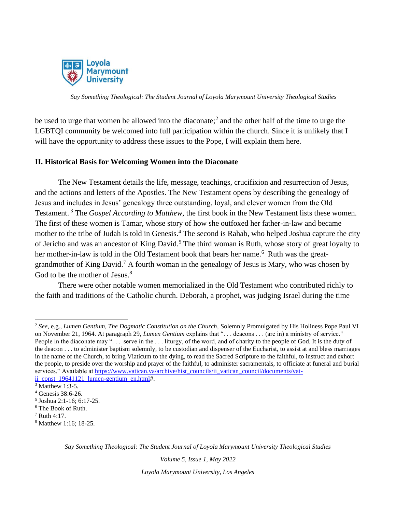

be used to urge that women be allowed into the diaconate;<sup>2</sup> and the other half of the time to urge the LGBTQI community be welcomed into full participation within the church. Since it is unlikely that I will have the opportunity to address these issues to the Pope, I will explain them here.

#### **II. Historical Basis for Welcoming Women into the Diaconate**

The New Testament details the life, message, teachings, crucifixion and resurrection of Jesus, and the actions and letters of the Apostles. The New Testament opens by describing the genealogy of Jesus and includes in Jesus' genealogy three outstanding, loyal, and clever women from the Old Testament. <sup>3</sup> The *Gospel According to Matthew*, the first book in the New Testament lists these women. The first of these women is Tamar, whose story of how she outfoxed her father-in-law and became mother to the tribe of Judah is told in Genesis.<sup>4</sup> The second is Rahab, who helped Joshua capture the city of Jericho and was an ancestor of King David.<sup>5</sup> The third woman is Ruth, whose story of great loyalty to her mother-in-law is told in the Old Testament book that bears her name.<sup>6</sup> Ruth was the greatgrandmother of King David.<sup>7</sup> A fourth woman in the genealogy of Jesus is Mary, who was chosen by God to be the mother of Jesus.<sup>8</sup>

There were other notable women memorialized in the Old Testament who contributed richly to the faith and traditions of the Catholic church. Deborah, a prophet, was judging Israel during the time

*Volume 5, Issue 1, May 2022*

<sup>2</sup> *See*, e.g., *Lumen Gentium, The Dogmatic Constitution on the Church,* Solemnly Promulgated by His Holiness Pope Paul VI on November 21, 1964. At paragraph 29, *Lumen Gentium* explains that ". . . deacons . . . (are in) a ministry of service." People in the diaconate may "... serve in the ... liturgy, of the word, and of charity to the people of God. It is the duty of the deacon . . . to administer baptism solemnly, to be custodian and dispenser of the Eucharist, to assist at and bless marriages in the name of the Church, to bring Viaticum to the dying, to read the Sacred Scripture to the faithful, to instruct and exhort the people, to preside over the worship and prayer of the faithful, to administer sacramentals, to officiate at funeral and burial services." Available a[t https://www.vatican.va/archive/hist\\_councils/ii\\_vatican\\_council/documents/vat-](https://www.vatican.va/archive/hist_councils/ii_vatican_council/documents/vat-ii_const_19641121_lumen-gentium_en.html)

ii const 19641121 lumen-gentium en.html#.

<sup>3</sup> Matthew 1:3-5.

<sup>4</sup> Genesis 38:6-26.

<sup>5</sup> Joshua 2:1-16; 6:17-25.

<sup>6</sup> The Book of Ruth.

<sup>7</sup> Ruth 4:17.

<sup>8</sup> Matthew 1:16; 18-25.

*Say Something Theological: The Student Journal of Loyola Marymount University Theological Studies*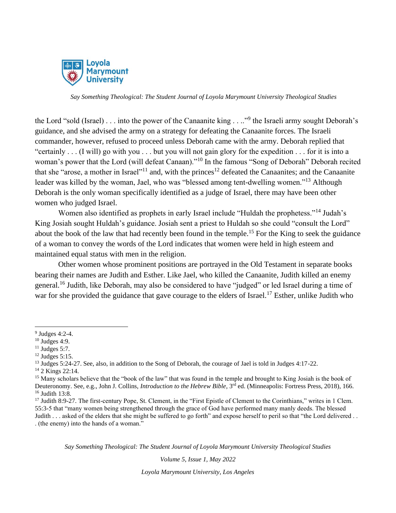

the Lord "sold (Israel)... into the power of the Canaanite king ...."<sup>9</sup> the Israeli army sought Deborah's guidance, and she advised the army on a strategy for defeating the Canaanite forces. The Israeli commander, however, refused to proceed unless Deborah came with the army. Deborah replied that "certainly . . . (I will) go with you . . . but you will not gain glory for the expedition . . . for it is into a woman's power that the Lord (will defeat Canaan)."<sup>10</sup> In the famous "Song of Deborah" Deborah recited that she "arose, a mother in Israel"<sup>11</sup> and, with the princes<sup>12</sup> defeated the Canaanites; and the Canaanite leader was killed by the woman, Jael, who was "blessed among tent-dwelling women."<sup>13</sup> Although Deborah is the only woman specifically identified as a judge of Israel, there may have been other women who judged Israel.

Women also identified as prophets in early Israel include "Huldah the prophetess."<sup>14</sup> Judah's King Josiah sought Huldah's guidance. Josiah sent a priest to Huldah so she could "consult the Lord" about the book of the law that had recently been found in the temple.<sup>15</sup> For the King to seek the guidance of a woman to convey the words of the Lord indicates that women were held in high esteem and maintained equal status with men in the religion.

Other women whose prominent positions are portrayed in the Old Testament in separate books bearing their names are Judith and Esther. Like Jael, who killed the Canaanite, Judith killed an enemy general.<sup>16</sup> Judith, like Deborah, may also be considered to have "judged" or led Israel during a time of war for she provided the guidance that gave courage to the elders of Israel.<sup>17</sup> Esther, unlike Judith who

<sup>14</sup> 2 Kings 22:14.

*Say Something Theological: The Student Journal of Loyola Marymount University Theological Studies*

*Volume 5, Issue 1, May 2022*

 $9$  Judges 4:2-4.

 $10$  Judges 4:9.

 $11$  Judges 5:7.

 $12$  Judges 5:15.

<sup>&</sup>lt;sup>13</sup> Judges 5:24-27. See, also, in addition to the Song of Deborah, the courage of Jael is told in Judges 4:17-22.

 $15$  Many scholars believe that the "book of the law" that was found in the temple and brought to King Josiah is the book of Deuteronomy. See, e.g., John J. Collins, *Introduction to the Hebrew Bible*, 3<sup>rd</sup> ed. (Minneapolis: Fortress Press, 2018), 166. <sup>16</sup> Judith 13:8.

<sup>&</sup>lt;sup>17</sup> Judith 8:9-27. The first-century Pope, St. Clement, in the "First Epistle of Clement to the Corinthians," writes in 1 Clem. 55:3-5 that "many women being strengthened through the grace of God have performed many manly deeds. The blessed Judith . . . asked of the elders that she might be suffered to go forth" and expose herself to peril so that "the Lord delivered . . . (the enemy) into the hands of a woman."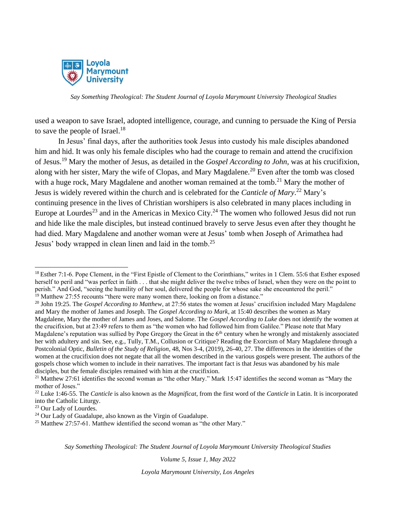

used a weapon to save Israel, adopted intelligence, courage, and cunning to persuade the King of Persia to save the people of Israel. $18$ 

In Jesus' final days, after the authorities took Jesus into custody his male disciples abandoned him and hid. It was only his female disciples who had the courage to remain and attend the crucifixion of Jesus.<sup>19</sup> Mary the mother of Jesus, as detailed in the *Gospel According to John*, was at his crucifixion, along with her sister, Mary the wife of Clopas, and Mary Magdalene.<sup>20</sup> Even after the tomb was closed with a huge rock, Mary Magdalene and another woman remained at the tomb.<sup>21</sup> Mary the mother of Jesus is widely revered within the church and is celebrated for the *Canticle of Mary*. <sup>22</sup> Mary's continuing presence in the lives of Christian worshipers is also celebrated in many places including in Europe at Lourdes<sup>23</sup> and in the Americas in Mexico City.<sup>24</sup> The women who followed Jesus did not run and hide like the male disciples, but instead continued bravely to serve Jesus even after they thought he had died. Mary Magdalene and another woman were at Jesus' tomb when Joseph of Arimathea had Jesus' body wrapped in clean linen and laid in the tomb.<sup>25</sup>

*Say Something Theological: The Student Journal of Loyola Marymount University Theological Studies*

*Volume 5, Issue 1, May 2022*

<sup>&</sup>lt;sup>18</sup> Esther 7:1-6. Pope Clement, in the "First Epistle of Clement to the Corinthians," writes in 1 Clem. 55:6 that Esther exposed herself to peril and "was perfect in faith . . . that she might deliver the twelve tribes of Israel, when they were on the point to perish." And God, "seeing the humility of her soul, delivered the people for whose sake she encountered the peril." <sup>19</sup> Matthew 27:55 recounts "there were many women there, looking on from a distance."

<sup>20</sup> John 19:25. The *Gospel According to Matthew*, at 27:56 states the women at Jesus' crucifixion included Mary Magdalene and Mary the mother of James and Joseph. The *Gospel According to Mark*, at 15:40 describes the women as Mary Magdalene, Mary the mother of James and Joses, and Salome. The *Gospel According to Luke* does not identify the women at the crucifixion, but at 23:49 refers to them as "the women who had followed him from Galilee." Please note that Mary Magdalene's reputation was sullied by Pope Gregory the Great in the  $6<sup>th</sup>$  century when he wrongly and mistakenly associated her with adultery and sin. See, e.g., Tully, T.M., Collusion or Critique? Reading the Exorcism of Mary Magdalene through a Postcolonial Optic, *Bulletin of the Study of Religion*, 48, Nos 3-4, (2019), 26-40, 27. The differences in the identities of the women at the crucifixion does not negate that all the women described in the various gospels were present. The authors of the gospels chose which women to include in their narratives. The important fact is that Jesus was abandoned by his male disciples, but the female disciples remained with him at the crucifixion.

<sup>&</sup>lt;sup>21</sup> Matthew 27:61 identifies the second woman as "the other Mary." Mark 15:47 identifies the second woman as "Mary the mother of Joses."

<sup>22</sup> Luke 1:46-55. The *Canticle* is also known as the *Magnificat*, from the first word of the *Canticle* in Latin. It is incorporated into the Catholic Liturgy.

<sup>23</sup> Our Lady of Lourdes.

 $24$  Our Lady of Guadalupe, also known as the Virgin of Guadalupe.

 $25$  Matthew 27:57-61. Matthew identified the second woman as "the other Mary."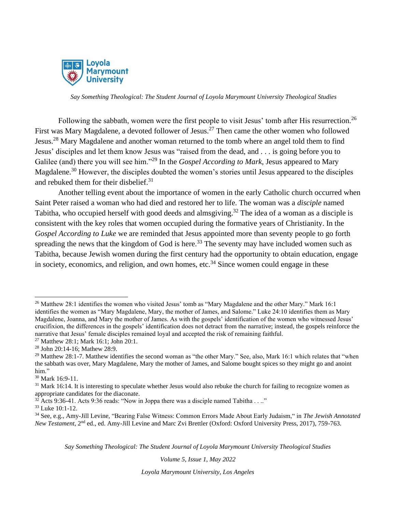

Following the sabbath, women were the first people to visit Jesus' tomb after His resurrection.<sup>26</sup> First was Mary Magdalene, a devoted follower of Jesus.<sup>27</sup> Then came the other women who followed Jesus.<sup>28</sup> Mary Magdalene and another woman returned to the tomb where an angel told them to find Jesus' disciples and let them know Jesus was "raised from the dead, and . . . is going before you to Galilee (and) there you will see him."<sup>29</sup> In the *Gospel According to Mark*, Jesus appeared to Mary Magdalene.<sup>30</sup> However, the disciples doubted the women's stories until Jesus appeared to the disciples and rebuked them for their disbelief.<sup>31</sup>

Another telling event about the importance of women in the early Catholic church occurred when Saint Peter raised a woman who had died and restored her to life. The woman was a *disciple* named Tabitha, who occupied herself with good deeds and almsgiving.<sup>32</sup> The idea of a woman as a disciple is consistent with the key roles that women occupied during the formative years of Christianity. In the *Gospel According to Luke* we are reminded that Jesus appointed more than seventy people to go forth spreading the news that the kingdom of God is here.<sup>33</sup> The seventy may have included women such as Tabitha, because Jewish women during the first century had the opportunity to obtain education, engage in society, economics, and religion, and own homes, etc.<sup>34</sup> Since women could engage in these

*Say Something Theological: The Student Journal of Loyola Marymount University Theological Studies*

*Volume 5, Issue 1, May 2022*

<sup>&</sup>lt;sup>26</sup> Matthew 28:1 identifies the women who visited Jesus' tomb as "Mary Magdalene and the other Mary." Mark 16:1 identifies the women as "Mary Magdalene, Mary, the mother of James, and Salome." Luke 24:10 identifies them as Mary Magdalene, Joanna, and Mary the mother of James. As with the gospels' identification of the women who witnessed Jesus' crucifixion, the differences in the gospels' identification does not detract from the narrative; instead, the gospels reinforce the narrative that Jesus' female disciples remained loyal and accepted the risk of remaining faithful. <sup>27</sup> Matthew 28:1; Mark 16:1; John 20:1.

<sup>28</sup> John 20:14-16; Mathew 28:9.

<sup>&</sup>lt;sup>29</sup> Matthew 28:1-7. Matthew identifies the second woman as "the other Mary." See, also, Mark 16:1 which relates that "when the sabbath was over, Mary Magdalene, Mary the mother of James, and Salome bought spices so they might go and anoint him."

<sup>30</sup> Mark 16:9-11.

 $31$  Mark 16:14. It is interesting to speculate whether Jesus would also rebuke the church for failing to recognize women as appropriate candidates for the diaconate.

 $32$  Acts 9:36-41. Acts 9:36 reads: "Now in Joppa there was a disciple named Tabitha . . .."

<sup>33</sup> Luke 10:1-12.

<sup>34</sup> See, e.g., Amy-Jill Levine, "Bearing False Witness: Common Errors Made About Early Judaism," in *The Jewish Annotated New Testament*, 2nd ed., ed. Amy-Jill Levine and Marc Zvi Brettler (Oxford: Oxford University Press, 2017), 759-763.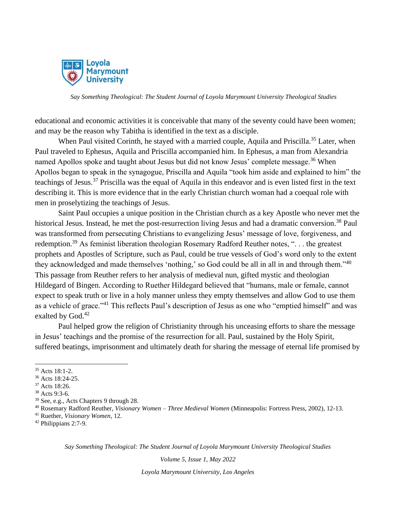

educational and economic activities it is conceivable that many of the seventy could have been women; and may be the reason why Tabitha is identified in the text as a disciple.

When Paul visited Corinth, he stayed with a married couple, Aquila and Priscilla.<sup>35</sup> Later, when Paul traveled to Ephesus, Aquila and Priscilla accompanied him. In Ephesus, a man from Alexandria named Apollos spoke and taught about Jesus but did not know Jesus' complete message.<sup>36</sup> When Apollos began to speak in the synagogue, Priscilla and Aquila "took him aside and explained to him" the teachings of Jesus.<sup>37</sup> Priscilla was the equal of Aquila in this endeavor and is even listed first in the text describing it. This is more evidence that in the early Christian church woman had a coequal role with men in proselytizing the teachings of Jesus.

Saint Paul occupies a unique position in the Christian church as a key Apostle who never met the historical Jesus. Instead, he met the post-resurrection living Jesus and had a dramatic conversion.<sup>38</sup> Paul was transformed from persecuting Christians to evangelizing Jesus' message of love, forgiveness, and redemption.<sup>39</sup> As feminist liberation theologian Rosemary Radford Reuther notes, "... the greatest prophets and Apostles of Scripture, such as Paul, could be true vessels of God's word only to the extent they acknowledged and made themselves 'nothing,' so God could be all in all in and through them."<sup>40</sup> This passage from Reuther refers to her analysis of medieval nun, gifted mystic and theologian Hildegard of Bingen. According to Ruether Hildegard believed that "humans, male or female, cannot expect to speak truth or live in a holy manner unless they empty themselves and allow God to use them as a vehicle of grace."<sup>41</sup> This reflects Paul's description of Jesus as one who "emptied himself" and was exalted by God.<sup>42</sup>

Paul helped grow the religion of Christianity through his unceasing efforts to share the message in Jesus' teachings and the promise of the resurrection for all. Paul, sustained by the Holy Spirit, suffered beatings, imprisonment and ultimately death for sharing the message of eternal life promised by

*Say Something Theological: The Student Journal of Loyola Marymount University Theological Studies*

*Volume 5, Issue 1, May 2022*

<sup>35</sup> Acts 18:1-2.

<sup>36</sup> Acts 18:24-25.

<sup>37</sup> Acts 18:26.

<sup>38</sup> Acts 9:3-6.

<sup>39</sup> See, e.g., Acts Chapters 9 through 28.

<sup>40</sup> Rosemary Radford Reuther, *Visionary Women – Three Medieval Women* (Minneapolis: Fortress Press, 2002), 12-13.

<sup>41</sup> Ruether, *Visionary Women*, 12.

<sup>42</sup> Philippians 2:7-9.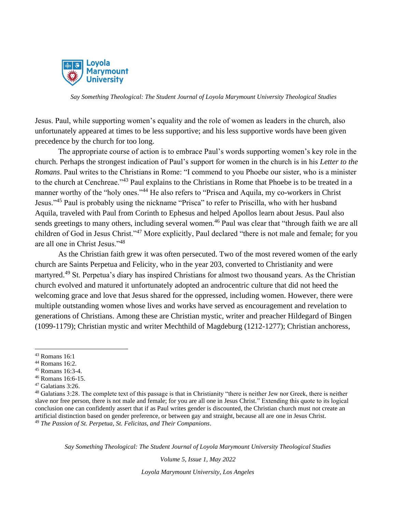

Jesus. Paul, while supporting women's equality and the role of women as leaders in the church, also unfortunately appeared at times to be less supportive; and his less supportive words have been given precedence by the church for too long.

The appropriate course of action is to embrace Paul's words supporting women's key role in the church. Perhaps the strongest indication of Paul's support for women in the church is in his *Letter to the Romans*. Paul writes to the Christians in Rome: "I commend to you Phoebe our sister, who is a minister to the church at Cenchreae."<sup>43</sup> Paul explains to the Christians in Rome that Phoebe is to be treated in a manner worthy of the "holy ones."<sup>44</sup> He also refers to "Prisca and Aquila, my co-workers in Christ Jesus."<sup>45</sup> Paul is probably using the nickname "Prisca" to refer to Priscilla, who with her husband Aquila, traveled with Paul from Corinth to Ephesus and helped Apollos learn about Jesus. Paul also sends greetings to many others, including several women.<sup>46</sup> Paul was clear that "through faith we are all children of God in Jesus Christ."<sup>47</sup> More explicitly, Paul declared "there is not male and female; for you are all one in Christ Jesus."<sup>48</sup>

As the Christian faith grew it was often persecuted. Two of the most revered women of the early church are Saints Perpetua and Felicity, who in the year 203, converted to Christianity and were martyred.<sup>49</sup> St. Perpetua's diary has inspired Christians for almost two thousand years. As the Christian church evolved and matured it unfortunately adopted an androcentric culture that did not heed the welcoming grace and love that Jesus shared for the oppressed, including women. However, there were multiple outstanding women whose lives and works have served as encouragement and revelation to generations of Christians. Among these are Christian mystic, writer and preacher Hildegard of Bingen (1099-1179); Christian mystic and writer Mechthild of Magdeburg (1212-1277); Christian anchoress,

*Say Something Theological: The Student Journal of Loyola Marymount University Theological Studies*

*Volume 5, Issue 1, May 2022*

<sup>43</sup> Romans 16:1

<sup>44</sup> Romans 16:2.

<sup>45</sup> Romans 16:3-4.

<sup>46</sup> Romans 16:6-15.

 $47$  Galatians 3:26.

<sup>48</sup> Galatians 3:28. The complete text of this passage is that in Christianity "there is neither Jew nor Greek, there is neither slave nor free person, there is not male and female; for you are all one in Jesus Christ." Extending this quote to its logical conclusion one can confidently assert that if as Paul writes gender is discounted, the Christian church must not create an artificial distinction based on gender preference, or between gay and straight, because all are one in Jesus Christ. <sup>49</sup> *The Passion of St. Perpetua, St. Felicitas, and Their Companions*.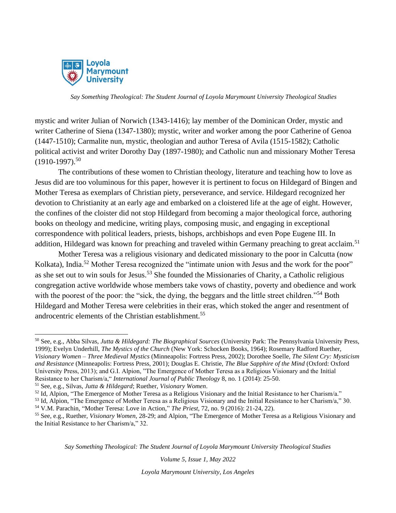

mystic and writer Julian of Norwich (1343-1416); lay member of the Dominican Order, mystic and writer Catherine of Siena (1347-1380); mystic, writer and worker among the poor Catherine of Genoa (1447-1510); Carmalite nun, mystic, theologian and author Teresa of Avila (1515-1582); Catholic political activist and writer Dorothy Day (1897-1980); and Catholic nun and missionary Mother Teresa  $(1910-1997).$ <sup>50</sup>

The contributions of these women to Christian theology, literature and teaching how to love as Jesus did are too voluminous for this paper, however it is pertinent to focus on Hildegard of Bingen and Mother Teresa as exemplars of Christian piety, perseverance, and service. Hildegard recognized her devotion to Christianity at an early age and embarked on a cloistered life at the age of eight. However, the confines of the cloister did not stop Hildegard from becoming a major theological force, authoring books on theology and medicine, writing plays, composing music, and engaging in exceptional correspondence with political leaders, priests, bishops, archbishops and even Pope Eugene III. In addition, Hildegard was known for preaching and traveled within Germany preaching to great acclaim.<sup>51</sup>

Mother Teresa was a religious visionary and dedicated missionary to the poor in Calcutta (now Kolkata), India.<sup>52</sup> Mother Teresa recognized the "intimate union with Jesus and the work for the poor" as she set out to win souls for Jesus.<sup>53</sup> She founded the Missionaries of Charity, a Catholic religious congregation active worldwide whose members take vows of chastity, poverty and obedience and work with the poorest of the poor: the "sick, the dying, the beggars and the little street children."<sup>54</sup> Both Hildegard and Mother Teresa were celebrities in their eras, which stoked the anger and resentment of androcentric elements of the Christian establishment.<sup>55</sup>

*Say Something Theological: The Student Journal of Loyola Marymount University Theological Studies*

*Volume 5, Issue 1, May 2022*

<sup>50</sup> See, e.g., Abba Silvas, *Jutta & Hildegard: The Biographical Sources* (University Park: The Pennsylvania University Press, 1999); Evelyn Underhill, *The Mystics of the Church* (New York: Schocken Books, 1964); Rosemary Radford Ruether, *Visionary Women – Three Medieval Mystics* (Minneapolis: Fortress Press, 2002); Dorothee Soelle, *The Silent Cry: Mysticism and Resistance* (Minneapolis: Fortress Press, 2001); Douglas E. Christie, *The Blue Sapphire of the Mind* (Oxford: Oxford University Press, 2013); and G.I. Alpion, "The Emergence of Mother Teresa as a Religious Visionary and the Initial Resistance to her Charism/a," *International Journal of Public Theology* 8, no. 1 (2014): 25-50.

<sup>51</sup> See, e.g., Silvas, *Jutta & Hildegard*; Ruether, *Visionary Women*.

<sup>52</sup> Id, Alpion, "The Emergence of Mother Teresa as a Religious Visionary and the Initial Resistance to her Charism/a."

<sup>53</sup> Id, Alpion, "The Emergence of Mother Teresa as a Religious Visionary and the Initial Resistance to her Charism/a," 30. <sup>54</sup> V.M. Parachin, "Mother Teresa: Love in Action," *The Priest*, 72, no. 9 (2016): 21-24, 22).

<sup>55</sup> See, e.g., Ruether, *Visionary Women,* 28-29; and Alpion, "The Emergence of Mother Teresa as a Religious Visionary and the Initial Resistance to her Charism/a," 32.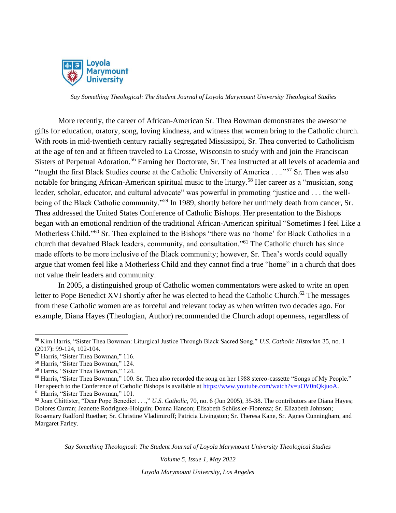

More recently, the career of African-American Sr. Thea Bowman demonstrates the awesome gifts for education, oratory, song, loving kindness, and witness that women bring to the Catholic church. With roots in mid-twentieth century racially segregated Mississippi, Sr. Thea converted to Catholicism at the age of ten and at fifteen traveled to La Crosse, Wisconsin to study with and join the Franciscan Sisters of Perpetual Adoration.<sup>56</sup> Earning her Doctorate, Sr. Thea instructed at all levels of academia and "taught the first Black Studies course at the Catholic University of America . . .."<sup>57</sup> Sr. Thea was also notable for bringing African-American spiritual music to the liturgy.<sup>58</sup> Her career as a "musician, song leader, scholar, educator, and cultural advocate" was powerful in promoting "justice and . . . the wellbeing of the Black Catholic community."<sup>59</sup> In 1989, shortly before her untimely death from cancer, Sr. Thea addressed the United States Conference of Catholic Bishops. Her presentation to the Bishops began with an emotional rendition of the traditional African-American spiritual "Sometimes I feel Like a Motherless Child."<sup>60</sup> Sr. Thea explained to the Bishops "there was no 'home' for Black Catholics in a church that devalued Black leaders, community, and consultation."<sup>61</sup> The Catholic church has since made efforts to be more inclusive of the Black community; however, Sr. Thea's words could equally argue that women feel like a Motherless Child and they cannot find a true "home" in a church that does not value their leaders and community.

In 2005, a distinguished group of Catholic women commentators were asked to write an open letter to Pope Benedict XVI shortly after he was elected to head the Catholic Church.<sup>62</sup> The messages from these Catholic women are as forceful and relevant today as when written two decades ago. For example, Diana Hayes (Theologian, Author) recommended the Church adopt openness, regardless of

*Say Something Theological: The Student Journal of Loyola Marymount University Theological Studies*

*Volume 5, Issue 1, May 2022*

<sup>56</sup> Kim Harris, "Sister Thea Bowman: Liturgical Justice Through Black Sacred Song," *U.S. Catholic Historian* 35, no. 1 (2017): 99-124, 102-104.

<sup>57</sup> Harris, "Sister Thea Bowman," 116.

<sup>58</sup> Harris, "Sister Thea Bowman," 124.

<sup>59</sup> Harris, "Sister Thea Bowman," 124.

 $60$  Harris, "Sister Thea Bowman," 100. Sr. Thea also recorded the song on her 1988 stereo-cassette "Songs of My People." Her speech to the Conference of Catholic Bishops is available at [https://www.youtube.com/watch?v=uOV0nQkjuoA.](https://www.youtube.com/watch?v=uOV0nQkjuoA) <sup>61</sup> Harris, "Sister Thea Bowman," 101.

<sup>62</sup> Joan Chittister, "Dear Pope Benedict . . .," *U.S. Catholic*, 70, no. 6 (Jun 2005), 35-38. The contributors are Diana Hayes; Dolores Curran; Jeanette Rodriguez-Holguin; Donna Hanson; Elisabeth Schüssler-Fiorenza; Sr. Elizabeth Johnson; Rosemary Radford Ruether; Sr. Christine Vladimiroff; Patricia Livingston; Sr. Theresa Kane, Sr. Agnes Cunningham, and Margaret Farley.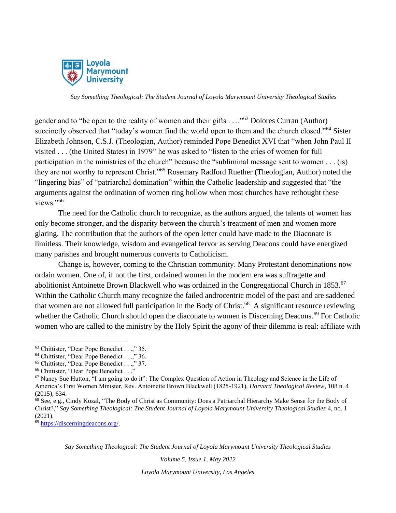

gender and to "be open to the reality of women and their gifts . . .."<sup>63</sup> Dolores Curran (Author) succinctly observed that "today's women find the world open to them and the church closed."<sup>64</sup> Sister Elizabeth Johnson, C.S.J. (Theologian, Author) reminded Pope Benedict XVI that "when John Paul II visited . . . (the United States) in 1979" he was asked to "listen to the cries of women for full participation in the ministries of the church" because the "subliminal message sent to women . . . (is) they are not worthy to represent Christ."<sup>65</sup> Rosemary Radford Ruether (Theologian, Author) noted the "lingering bias" of "patriarchal domination" within the Catholic leadership and suggested that "the arguments against the ordination of women ring hollow when most churches have rethought these views."<sup>66</sup>

The need for the Catholic church to recognize, as the authors argued, the talents of women has only become stronger, and the disparity between the church's treatment of men and women more glaring. The contribution that the authors of the open letter could have made to the Diaconate is limitless. Their knowledge, wisdom and evangelical fervor as serving Deacons could have energized many parishes and brought numerous converts to Catholicism.

Change is, however, coming to the Christian community. Many Protestant denominations now ordain women. One of, if not the first, ordained women in the modern era was suffragette and abolitionist Antoinette Brown Blackwell who was ordained in the Congregational Church in 1853.<sup>67</sup> Within the Catholic Church many recognize the failed androcentric model of the past and are saddened that women are not allowed full participation in the Body of Christ.<sup>68</sup> A significant resource reviewing whether the Catholic Church should open the diaconate to women is Discerning Deacons.<sup>69</sup> For Catholic women who are called to the ministry by the Holy Spirit the agony of their dilemma is real: affiliate with

<sup>69</sup> [https://discerningdeacons.org/.](https://discerningdeacons.org/) 

*Say Something Theological: The Student Journal of Loyola Marymount University Theological Studies*

*Volume 5, Issue 1, May 2022*

<sup>63</sup> Chittister, "Dear Pope Benedict . . .," 35.

<sup>&</sup>lt;sup>64</sup> Chittister, "Dear Pope Benedict . . .," 36.

<sup>65</sup> Chittister, "Dear Pope Benedict . . .," 37.

<sup>66</sup> Chittister, "Dear Pope Benedict . . ."

 $67$  Nancy Sue Hutton, "I am going to do it": The Complex Question of Action in Theology and Science in the Life of America's First Women Minister, Rev. Antoinette Brown Blackwell (1825-1921), *Harvard Theological Review*, 108 n. 4 (2015), 634.

<sup>68</sup> See, e.g., Cindy Kozal, "The Body of Christ as Community: Does a Patriarchal Hierarchy Make Sense for the Body of Christ?," *Say Something Theological: The Student Journal of Loyola Marymount University Theological Studies* 4, no. 1 (2021).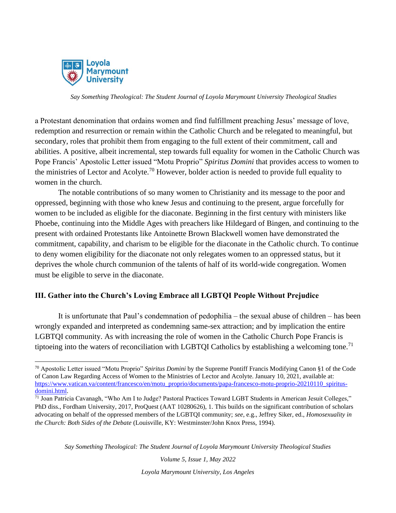

a Protestant denomination that ordains women and find fulfillment preaching Jesus' message of love, redemption and resurrection or remain within the Catholic Church and be relegated to meaningful, but secondary, roles that prohibit them from engaging to the full extent of their commitment, call and abilities. A positive, albeit incremental, step towards full equality for women in the Catholic Church was Pope Francis' Apostolic Letter issued "Motu Proprio" *Spiritus Domini* that provides access to women to the ministries of Lector and Acolyte.<sup>70</sup> However, bolder action is needed to provide full equality to women in the church.

The notable contributions of so many women to Christianity and its message to the poor and oppressed, beginning with those who knew Jesus and continuing to the present, argue forcefully for women to be included as eligible for the diaconate. Beginning in the first century with ministers like Phoebe, continuing into the Middle Ages with preachers like Hildegard of Bingen, and continuing to the present with ordained Protestants like Antoinette Brown Blackwell women have demonstrated the commitment, capability, and charism to be eligible for the diaconate in the Catholic church. To continue to deny women eligibility for the diaconate not only relegates women to an oppressed status, but it deprives the whole church communion of the talents of half of its world-wide congregation. Women must be eligible to serve in the diaconate.

### **III. Gather into the Church's Loving Embrace all LGBTQI People Without Prejudice**

It is unfortunate that Paul's condemnation of pedophilia – the sexual abuse of children – has been wrongly expanded and interpreted as condemning same-sex attraction; and by implication the entire LGBTQI community. As with increasing the role of women in the Catholic Church Pope Francis is tiptoeing into the waters of reconciliation with LGBTQI Catholics by establishing a welcoming tone.<sup>71</sup>

*Say Something Theological: The Student Journal of Loyola Marymount University Theological Studies*

*Volume 5, Issue 1, May 2022*

<sup>70</sup> Apostolic Letter issued "Motu Proprio" *Spiritus Domini* by the Supreme Pontiff Francis Modifying Canon §1 of the Code of Canon Law Regarding Access of Women to the Ministries of Lector and Acolyte. January 10, 2021, available at: [https://www.vatican.va/content/francesco/en/motu\\_proprio/documents/papa-francesco-motu-proprio-20210110\\_spiritus](https://www.vatican.va/content/francesco/en/motu_proprio/documents/papa-francesco-motu-proprio-20210110_spiritus-domini.html)[domini.html.](https://www.vatican.va/content/francesco/en/motu_proprio/documents/papa-francesco-motu-proprio-20210110_spiritus-domini.html)

<sup>71</sup> Joan Patricia Cavanagh, "Who Am I to Judge? Pastoral Practices Toward LGBT Students in American Jesuit Colleges," PhD diss., Fordham University, 2017, ProQuest (AAT 10280626), 1. This builds on the significant contribution of scholars advocating on behalf of the oppressed members of the LGBTQI community; *see*, e.g., Jeffrey Siker, ed., *Homosexuality in the Church: Both Sides of the Debate* (Louisville, KY: Westminster/John Knox Press, 1994).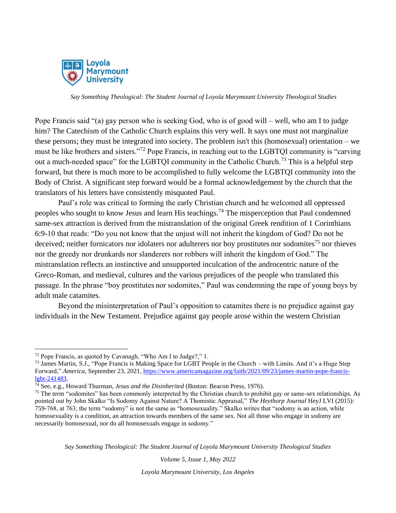

Pope Francis said "(a) gay person who is seeking God, who is of good will – well, who am I to judge him? The Catechism of the Catholic Church explains this very well. It says one must not marginalize these persons; they must be integrated into society. The problem isn't this (homosexual) orientation – we must be like brothers and sisters."<sup>72</sup> Pope Francis, in reaching out to the LGBTQI community is "carving out a much-needed space" for the LGBTQI community in the Catholic Church.<sup>73</sup> This is a helpful step forward, but there is much more to be accomplished to fully welcome the LGBTQI community into the Body of Christ. A significant step forward would be a formal acknowledgement by the church that the translators of his letters have consistently misquoted Paul.

Paul's role was critical to forming the early Christian church and he welcomed all oppressed peoples who sought to know Jesus and learn His teachings.<sup>74</sup> The misperception that Paul condemned same-sex attraction is derived from the mistranslation of the original Greek rendition of 1 Corinthians 6:9-10 that reads: "Do you not know that the unjust will not inherit the kingdom of God? Do not be deceived; neither fornicators nor idolaters nor adulterers nor boy prostitutes nor sodomites<sup>75</sup> nor thieves nor the greedy nor drunkards nor slanderers nor robbers will inherit the kingdom of God." The mistranslation reflects an instinctive and unsupported inculcation of the androcentric nature of the Greco-Roman, and medieval, cultures and the various prejudices of the people who translated this passage. In the phrase "boy prostitutes nor sodomites," Paul was condemning the rape of young boys by adult male catamites.

Beyond the misinterpretation of Paul's opposition to catamites there is no prejudice against gay individuals in the New Testament. Prejudice against gay people arose within the western Christian

*Say Something Theological: The Student Journal of Loyola Marymount University Theological Studies*

*Volume 5, Issue 1, May 2022*

<sup>72</sup> Pope Francis, as quoted by Cavanagh, "Who Am I to Judge?," 1.

<sup>&</sup>lt;sup>73</sup> James Martin, S.J., "Pope Francis is Making Space for LGBT People in the Church – with Limits. And it's a Huge Step Forward," *America*, September 23, 2021, [https://www.americamagazine.org/faith/2021/09/23/james-martin-pope-francis](https://www.americamagazine.org/faith/2021/09/23/james-martin-pope-francis-lgbt-241483)[lgbt-241483.](https://www.americamagazine.org/faith/2021/09/23/james-martin-pope-francis-lgbt-241483)

<sup>74</sup> See, e.g., Howard Thurman, *Jesus and the Disinherited* (Boston: Beacon Press, 1976).

<sup>&</sup>lt;sup>75</sup> The term "sodomites" has been commonly interpreted by the Christian church to prohibit gay or same-sex relationships. As pointed out by John Skalko "Is Sodomy Against Nature? A Thomistic Appraisal," *The Heythorp Journal* HeyJ LVI (2015): 759-768, at 763; the term "sodomy" is not the same as "homosexuality." Skalko writes that "sodomy is an action, while homosexuality is a condition, an attraction towards members of the same sex. Not all those who engage in sodomy are necessarily homosexual, nor do all homosexuals engage in sodomy."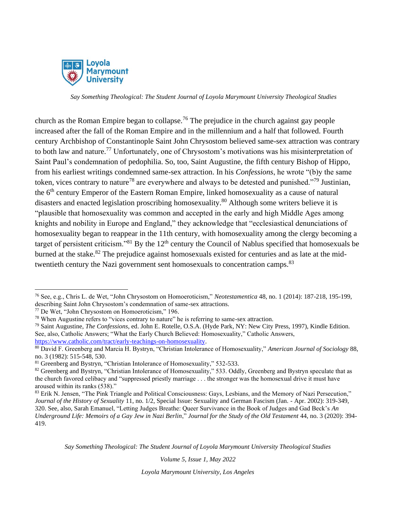

church as the Roman Empire began to collapse.<sup>76</sup> The prejudice in the church against gay people increased after the fall of the Roman Empire and in the millennium and a half that followed. Fourth century Archbishop of Constantinople Saint John Chrysostom believed same-sex attraction was contrary to both law and nature.<sup>77</sup> Unfortunately, one of Chrysostom's motivations was his misinterpretation of Saint Paul's condemnation of pedophilia. So, too, Saint Augustine, the fifth century Bishop of Hippo, from his earliest writings condemned same-sex attraction. In his *Confessions*, he wrote "(b)y the same token, vices contrary to nature<sup>78</sup> are everywhere and always to be detested and punished."<sup>79</sup> Justinian, the 6<sup>th</sup> century Emperor of the Eastern Roman Empire, linked homosexuality as a cause of natural disasters and enacted legislation proscribing homosexuality.<sup>80</sup> Although some writers believe it is "plausible that homosexuality was common and accepted in the early and high Middle Ages among knights and nobility in Europe and England," they acknowledge that "ecclesiastical denunciations of homosexuality began to reappear in the 11th century, with homosexuality among the clergy becoming a target of persistent criticism."<sup>81</sup> By the  $12<sup>th</sup>$  century the Council of Nablus specified that homosexuals be burned at the stake.<sup>82</sup> The prejudice against homosexuals existed for centuries and as late at the midtwentieth century the Nazi government sent homosexuals to concentration camps.<sup>83</sup>

*Say Something Theological: The Student Journal of Loyola Marymount University Theological Studies*

*Volume 5, Issue 1, May 2022*

<sup>76</sup> See, e.g., Chris L. de Wet, "John Chrysostom on Homoeroticism," *Neotestamentica* 48, no. 1 (2014): 187-218, 195-199, describing Saint John Chrysostom's condemnation of same-sex attractions.

<sup>77</sup> De Wet, "John Chrysostom on Homoeroticism," 196.

<sup>78</sup> When Augustine refers to "vices contrary to nature" he is referring to same-sex attraction.

<sup>79</sup> Saint Augustine, *The Confessions*, ed. John E. Rotelle, O.S.A. (Hyde Park, NY: New City Press, 1997), Kindle Edition. See, also, Catholic Answers; "What the Early Church Believed: Homosexuality," Catholic Answers, [https://www.catholic.com/tract/early-teachings-on-homosexuality.](https://www.catholic.com/tract/early-teachings-on-homosexuality) 

<sup>80</sup> David F. Greenberg and Marcia H. Bystryn, "Christian Intolerance of Homosexuality," *American Journal of Sociology* 88, no. 3 (1982): 515-548, 530.

<sup>81</sup> Greenberg and Bystryn, "Christian Intolerance of Homosexuality," 532-533.

<sup>&</sup>lt;sup>82</sup> Greenberg and Bystryn, "Christian Intolerance of Homosexuality," 533. Oddly, Greenberg and Bystryn speculate that as the church favored celibacy and "suppressed priestly marriage . . . the stronger was the homosexual drive it must have aroused within its ranks (538)."

<sup>83</sup> Erik N. Jensen, "The Pink Triangle and Political Consciousness: Gays, Lesbians, and the Memory of Nazi Persecution," *Journal of the History of Sexuality* 11, no. 1/2, Special Issue: Sexuality and German Fascism (Jan. - Apr. 2002): 319-349, 320. See, also, Sarah Emanuel, "Letting Judges Breathe: Queer Survivance in the Book of Judges and Gad Beck's *An Underground Life: Memoirs of a Gay Jew in Nazi Berlin*," *Journal for the Study of the Old Testament* 44, no. 3 (2020): 394- 419.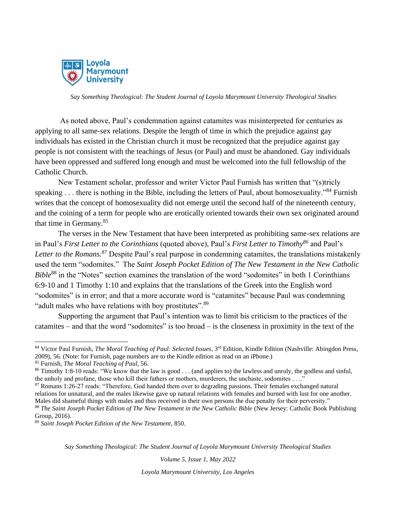

As noted above, Paul's condemnation against catamites was misinterpreted for centuries as applying to all same-sex relations. Despite the length of time in which the prejudice against gay individuals has existed in the Christian church it must be recognized that the prejudice against gay people is not consistent with the teachings of Jesus (or Paul) and must be abandoned. Gay individuals have been oppressed and suffered long enough and must be welcomed into the full fellowship of the Catholic Church.

New Testament scholar, professor and writer Victor Paul Furnish has written that "(s)tricly speaking . . . there is nothing in the Bible, including the letters of Paul, about homosexuality."<sup>84</sup> Furnish writes that the concept of homosexuality did not emerge until the second half of the nineteenth century, and the coining of a term for people who are erotically oriented towards their own sex originated around that time in Germany.<sup>85</sup>

The verses in the New Testament that have been interpreted as prohibiting same-sex relations are in Paul's *First Letter to the Corinthians* (quoted above), Paul's *First Letter to Timothy<sup>86</sup>* and Paul's *Letter to the Romans.<sup>87</sup>* Despite Paul's real purpose in condemning catamites, the translations mistakenly used the term "sodomites." The *Saint Joseph Pocket Edition of The New Testament in the New Catholic Bible*<sup>88</sup> in the "Notes" section examines the translation of the word "sodomites" in both 1 Corinthians 6:9-10 and 1 Timothy 1:10 and explains that the translations of the Greek into the English word "sodomites" is in error; and that a more accurate word is "catamites" because Paul was condemning "adult males who have relations with boy prostitutes".<sup>89</sup>

Supporting the argument that Paul's intention was to limit his criticism to the practices of the catamites – and that the word "sodomites" is too broad – is the closeness in proximity in the text of the

*Say Something Theological: The Student Journal of Loyola Marymount University Theological Studies*

*Volume 5, Issue 1, May 2022*

<sup>84</sup> Victor Paul Furnish, *The Moral Teaching of Paul: Selected Issues*, 3rd Edition, Kindle Edition (Nashville: Abingdon Press, 2009), 56. (Note: for Furnish, page numbers are to the Kindle edition as read on an iPhone.)

<sup>85</sup> Furnish, *The Moral Teaching of Paul,* 56.

<sup>&</sup>lt;sup>86</sup> Timothy 1:8-10 reads: "We know that the law is good . . . (and applies to) the lawless and unruly, the godless and sinful, the unholy and profane, those who kill their fathers or mothers, murderers, the unchaste, sodomites . . .."

<sup>87</sup> Romans 1:26-27 reads: "Therefore, God handed them over to degrading passions. Their females exchanged natural relations for unnatural, and the males likewise gave up natural relations with females and burned with lust for one another. Males did shameful things with males and thus received in their own persons the due penalty for their perversity."

<sup>88</sup> *The Saint Joseph Pocket Edition of The New Testament in the New Catholic Bible* (New Jersey: Catholic Book Publishing Group, 2016).

<sup>89</sup> *Saint Joseph Pocket Edition of the New Testament*, 850.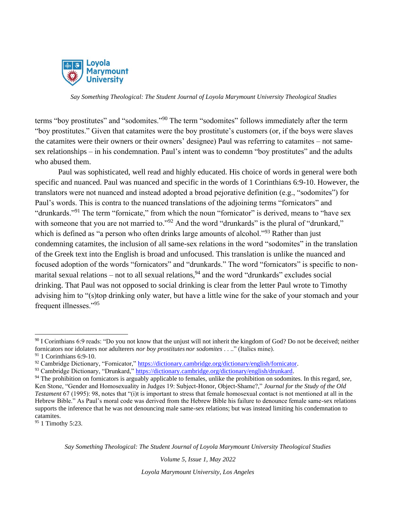

terms "boy prostitutes" and "sodomites."<sup>90</sup> The term "sodomites" follows immediately after the term "boy prostitutes." Given that catamites were the boy prostitute's customers (or, if the boys were slaves the catamites were their owners or their owners' designee) Paul was referring to catamites – not samesex relationships – in his condemnation. Paul's intent was to condemn "boy prostitutes" and the adults who abused them.

Paul was sophisticated, well read and highly educated. His choice of words in general were both specific and nuanced. Paul was nuanced and specific in the words of 1 Corinthians 6:9-10. However, the translators were not nuanced and instead adopted a broad pejorative definition (e.g., "sodomites") for Paul's words. This is contra to the nuanced translations of the adjoining terms "fornicators" and "drunkards."<sup>91</sup> The term "fornicate," from which the noun "fornicator" is derived, means to "have sex with someone that you are not married to."<sup>92</sup> And the word "drunkards" is the plural of "drunkard," which is defined as "a person who often drinks large amounts of alcohol."<sup>93</sup> Rather than just condemning catamites, the inclusion of all same-sex relations in the word "sodomites" in the translation of the Greek text into the English is broad and unfocused. This translation is unlike the nuanced and focused adoption of the words "fornicators" and "drunkards." The word "fornicators" is specific to nonmarital sexual relations – not to all sexual relations,  $94$  and the word "drunkards" excludes social drinking. That Paul was not opposed to social drinking is clear from the letter Paul wrote to Timothy advising him to "(s)top drinking only water, but have a little wine for the sake of your stomach and your frequent illnesses."<sup>95</sup>

*Say Something Theological: The Student Journal of Loyola Marymount University Theological Studies*

*Volume 5, Issue 1, May 2022*

 $90$  I Corinthians 6:9 reads: "Do you not know that the unjust will not inherit the kingdom of God? Do not be deceived; neither fornicators nor idolaters nor adulterers *nor boy prostitutes nor sodomites* . . .." (Italics mine).

 $91$  1 Corinthians 6:9-10.

<sup>92</sup> Cambridge Dictionary, "Fornicator," https://dictionary.cambridge.org/dictionary/english/fornicator.

<sup>93</sup> Cambridge Dictionary, "Drunkard," [https://dictionary.cambridge.org/dictionary/english/drunkard.](https://dictionary.cambridge.org/dictionary/english/drunkard)

<sup>94</sup> The prohibition on fornicators is arguably applicable to females, unlike the prohibition on sodomites. In this regard, *see*, Ken Stone, "Gender and Homosexuality in Judges 19: Subject-Honor, Object-Shame?," *Journal for the Study of the Old Testament* 67 (1995): 98, notes that "(i)t is important to stress that female homosexual contact is not mentioned at all in the Hebrew Bible." As Paul's moral code was derived from the Hebrew Bible his failure to denounce female same-sex relations supports the inference that he was not denouncing male same-sex relations; but was instead limiting his condemnation to catamites.

<sup>&</sup>lt;sup>95</sup> 1 Timothy 5:23.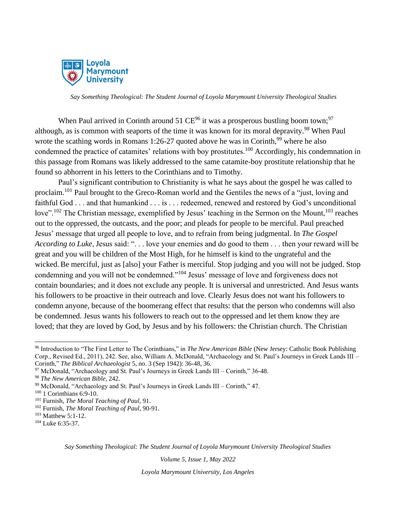

When Paul arrived in Corinth around 51  $CE^{96}$  it was a prosperous bustling boom town;<sup>97</sup> although, as is common with seaports of the time it was known for its moral depravity.<sup>98</sup> When Paul wrote the scathing words in Romans 1:26-27 quoted above he was in Corinth,  $99$  where he also condemned the practice of catamites' relations with boy prostitutes.<sup>100</sup> Accordingly, his condemnation in this passage from Romans was likely addressed to the same catamite-boy prostitute relationship that he found so abhorrent in his letters to the Corinthians and to Timothy.

Paul's significant contribution to Christianity is what he says about the gospel he was called to proclaim.<sup>101</sup> Paul brought to the Greco-Roman world and the Gentiles the news of a "just, loving and faithful God . . . and that humankind . . . is . . . redeemed, renewed and restored by God's unconditional love".<sup>102</sup> The Christian message, exemplified by Jesus' teaching in the Sermon on the Mount,<sup>103</sup> reaches out to the oppressed, the outcasts, and the poor; and pleads for people to be merciful. Paul preached Jesus' message that urged all people to love, and to refrain from being judgmental. In *The Gospel According to Luke*, Jesus said: ". . . love your enemies and do good to them . . . then your reward will be great and you will be children of the Most High, for he himself is kind to the ungrateful and the wicked. Be merciful, just as [also] your Father is merciful. Stop judging and you will not be judged. Stop condemning and you will not be condemned."<sup>104</sup> Jesus' message of love and forgiveness does not contain boundaries; and it does not exclude any people. It is universal and unrestricted. And Jesus wants his followers to be proactive in their outreach and love. Clearly Jesus does not want his followers to condemn anyone, because of the boomerang effect that results: that the person who condemns will also be condemned. Jesus wants his followers to reach out to the oppressed and let them know they are loved; that they are loved by God, by Jesus and by his followers: the Christian church. The Christian

*Say Something Theological: The Student Journal of Loyola Marymount University Theological Studies*

*Volume 5, Issue 1, May 2022*

<sup>96</sup> Introduction to "The First Letter to The Corinthians," in *The New American Bible* (New Jersey: Catholic Book Publishing Corp., Revised Ed., 2011), 242. See, also, William A. McDonald, "Archaeology and St. Paul's Journeys in Greek Lands III – Corinth," *The Biblical Archaeologist* 5, no. 3 (Sep 1942): 36-48, 36.

 $97$  McDonald, "Archaeology and St. Paul's Journeys in Greek Lands III – Corinth," 36-48.

<sup>98</sup> *The New American Bible,* 242.

<sup>99</sup> McDonald, "Archaeology and St. Paul's Journeys in Greek Lands III – Corinth," 47.

<sup>&</sup>lt;sup>100</sup> 1 Corinthians 6:9-10.

<sup>101</sup> Furnish, *The Moral Teaching of Paul,* 91.

<sup>102</sup> Furnish, *The Moral Teaching of Paul,* 90-91.

<sup>103</sup> Matthew 5:1-12.

<sup>104</sup> Luke 6:35-37.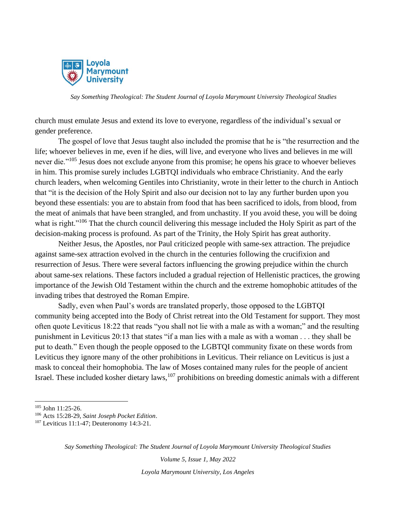

church must emulate Jesus and extend its love to everyone, regardless of the individual's sexual or gender preference.

The gospel of love that Jesus taught also included the promise that he is "the resurrection and the life; whoever believes in me, even if he dies, will live, and everyone who lives and believes in me will never die."<sup>105</sup> Jesus does not exclude anyone from this promise; he opens his grace to whoever believes in him. This promise surely includes LGBTQI individuals who embrace Christianity. And the early church leaders, when welcoming Gentiles into Christianity, wrote in their letter to the church in Antioch that "it is the decision of the Holy Spirit and also our decision not to lay any further burden upon you beyond these essentials: you are to abstain from food that has been sacrificed to idols, from blood, from the meat of animals that have been strangled, and from unchastity. If you avoid these, you will be doing what is right."<sup>106</sup> That the church council delivering this message included the Holy Spirit as part of the decision-making process is profound. As part of the Trinity, the Holy Spirit has great authority.

Neither Jesus, the Apostles, nor Paul criticized people with same-sex attraction. The prejudice against same-sex attraction evolved in the church in the centuries following the crucifixion and resurrection of Jesus. There were several factors influencing the growing prejudice within the church about same-sex relations. These factors included a gradual rejection of Hellenistic practices, the growing importance of the Jewish Old Testament within the church and the extreme homophobic attitudes of the invading tribes that destroyed the Roman Empire.

Sadly, even when Paul's words are translated properly, those opposed to the LGBTQI community being accepted into the Body of Christ retreat into the Old Testament for support. They most often quote Leviticus 18:22 that reads "you shall not lie with a male as with a woman;" and the resulting punishment in Leviticus 20:13 that states "if a man lies with a male as with a woman . . . they shall be put to death." Even though the people opposed to the LGBTQI community fixate on these words from Leviticus they ignore many of the other prohibitions in Leviticus. Their reliance on Leviticus is just a mask to conceal their homophobia. The law of Moses contained many rules for the people of ancient Israel. These included kosher dietary laws, $107$  prohibitions on breeding domestic animals with a different

*Say Something Theological: The Student Journal of Loyola Marymount University Theological Studies*

*Volume 5, Issue 1, May 2022*

<sup>105</sup> John 11:25-26.

<sup>106</sup> Acts 15:28-29, *Saint Joseph Pocket Edition*.

<sup>107</sup> Leviticus 11:1-47; Deuteronomy 14:3-21.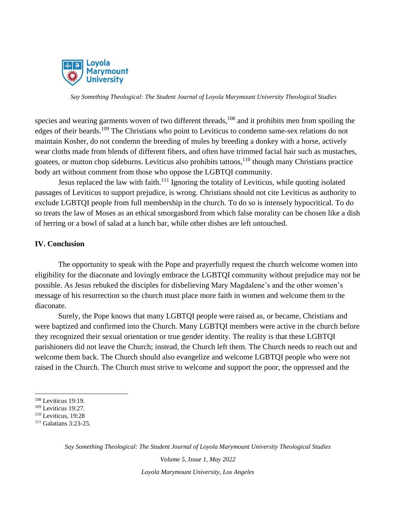

species and wearing garments woven of two different threads,<sup>108</sup> and it prohibits men from spoiling the edges of their beards.<sup>109</sup> The Christians who point to Leviticus to condemn same-sex relations do not maintain Kosher, do not condemn the breeding of mules by breeding a donkey with a horse, actively wear cloths made from blends of different fibers, and often have trimmed facial hair such as mustaches, goatees, or mutton chop sideburns. Leviticus also prohibits tattoos, $1^{10}$  though many Christians practice body art without comment from those who oppose the LGBTQI community.

Jesus replaced the law with faith.<sup>111</sup> Ignoring the totality of Leviticus, while quoting isolated passages of Leviticus to support prejudice, is wrong. Christians should not cite Leviticus as authority to exclude LGBTQI people from full membership in the church. To do so is intensely hypocritical. To do so treats the law of Moses as an ethical smorgasbord from which false morality can be chosen like a dish of herring or a bowl of salad at a lunch bar, while other dishes are left untouched.

#### **IV. Conclusion**

The opportunity to speak with the Pope and prayerfully request the church welcome women into eligibility for the diaconate and lovingly embrace the LGBTQI community without prejudice may not be possible. As Jesus rebuked the disciples for disbelieving Mary Magdalene's and the other women's message of his resurrection so the church must place more faith in women and welcome them to the diaconate.

Surely, the Pope knows that many LGBTQI people were raised as, or became, Christians and were baptized and confirmed into the Church. Many LGBTQI members were active in the church before they recognized their sexual orientation or true gender identity. The reality is that these LGBTQI parishioners did not leave the Church; instead, the Church left them. The Church needs to reach out and welcome them back. The Church should also evangelize and welcome LGBTQI people who were not raised in the Church. The Church must strive to welcome and support the poor, the oppressed and the

*Say Something Theological: The Student Journal of Loyola Marymount University Theological Studies*

*Volume 5, Issue 1, May 2022*

<sup>108</sup> Leviticus 19:19.

<sup>109</sup> Leviticus 19:27.

<sup>110</sup> Leviticus, 19:28

<sup>111</sup> Galatians 3:23-25.